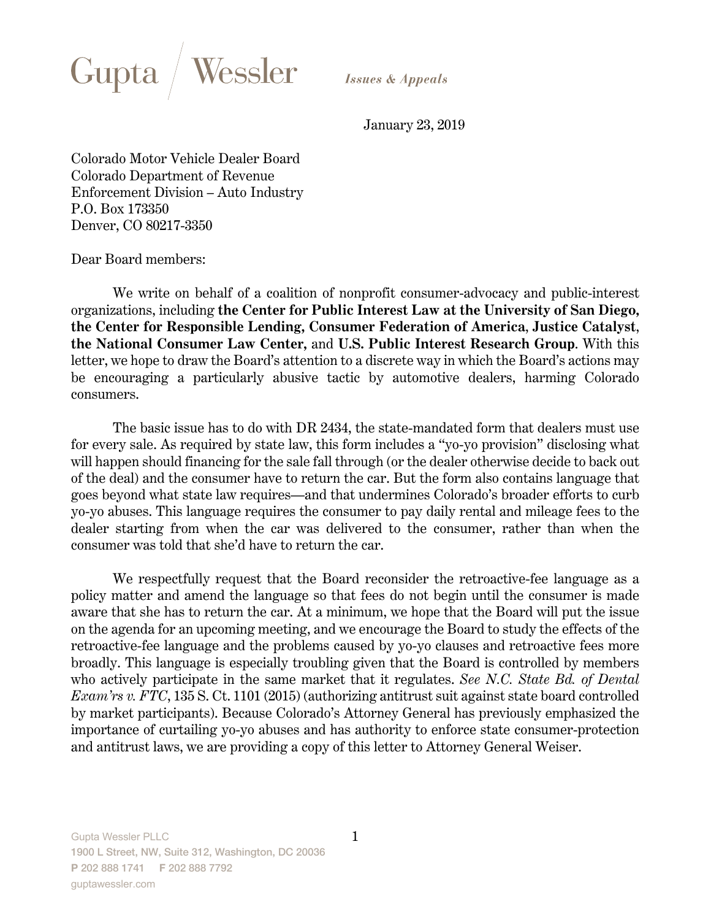

January 23, 2019

Colorado Motor Vehicle Dealer Board Colorado Department of Revenue Enforcement Division – Auto Industry P.O. Box 173350 Denver, CO 80217-3350

Dear Board members:

We write on behalf of a coalition of nonprofit consumer-advocacy and public-interest organizations, including **the Center for Public Interest Law at the University of San Diego, the Center for Responsible Lending, Consumer Federation of America**, **Justice Catalyst**, **the National Consumer Law Center,** and **U.S. Public Interest Research Group**. With this letter, we hope to draw the Board's attention to a discrete way in which the Board's actions may be encouraging a particularly abusive tactic by automotive dealers, harming Colorado consumers.

The basic issue has to do with DR 2434, the state-mandated form that dealers must use for every sale. As required by state law, this form includes a "yo-yo provision" disclosing what will happen should financing for the sale fall through (or the dealer otherwise decide to back out of the deal) and the consumer have to return the car. But the form also contains language that goes beyond what state law requires—and that undermines Colorado's broader efforts to curb yo-yo abuses. This language requires the consumer to pay daily rental and mileage fees to the dealer starting from when the car was delivered to the consumer, rather than when the consumer was told that she'd have to return the car.

We respectfully request that the Board reconsider the retroactive-fee language as a policy matter and amend the language so that fees do not begin until the consumer is made aware that she has to return the car. At a minimum, we hope that the Board will put the issue on the agenda for an upcoming meeting, and we encourage the Board to study the effects of the retroactive-fee language and the problems caused by yo-yo clauses and retroactive fees more broadly. This language is especially troubling given that the Board is controlled by members who actively participate in the same market that it regulates. *See N.C. State Bd. of Dental Exam'rs v. FTC*, 135 S. Ct. 1101 (2015) (authorizing antitrust suit against state board controlled by market participants). Because Colorado's Attorney General has previously emphasized the importance of curtailing yo-yo abuses and has authority to enforce state consumer-protection and antitrust laws, we are providing a copy of this letter to Attorney General Weiser.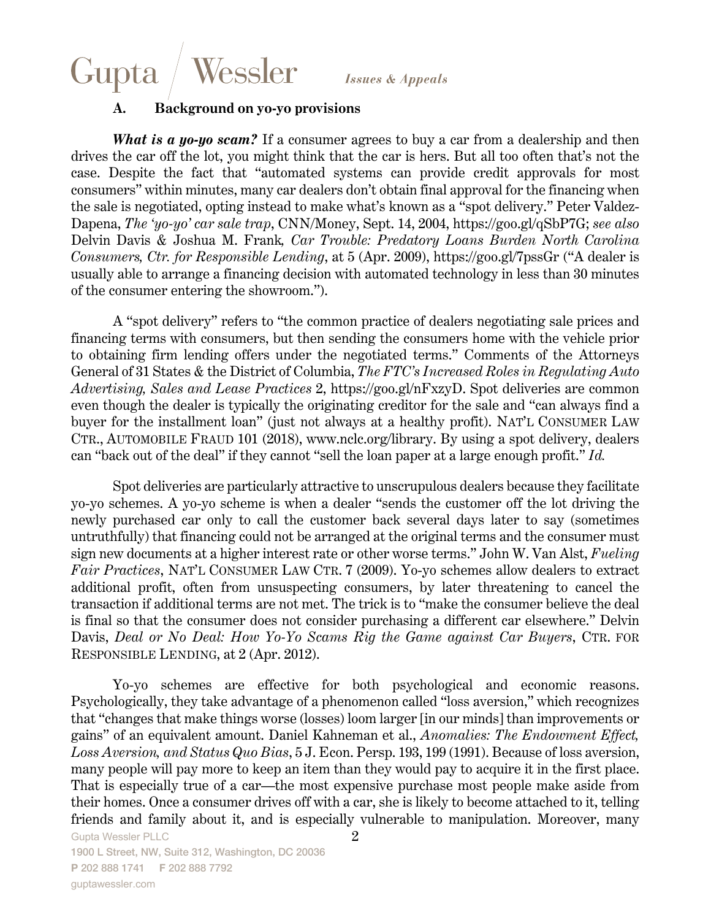## Wessler Gupta

#### **A. Background on yo-yo provisions**

*What is a yo-yo scam?* If a consumer agrees to buy a car from a dealership and then drives the car off the lot, you might think that the car is hers. But all too often that's not the case. Despite the fact that "automated systems can provide credit approvals for most consumers" within minutes, many car dealers don't obtain final approval for the financing when the sale is negotiated, opting instead to make what's known as a "spot delivery." Peter Valdez-Dapena, *The 'yo-yo' car sale trap*, CNN/Money, Sept. 14, 2004, https://goo.gl/qSbP7G; *see also*  Delvin Davis & Joshua M. Frank*, Car Trouble: Predatory Loans Burden North Carolina Consumers, Ctr. for Responsible Lending*, at 5 (Apr. 2009), https://goo.gl/7pssGr ("A dealer is usually able to arrange a financing decision with automated technology in less than 30 minutes of the consumer entering the showroom.").

A "spot delivery" refers to "the common practice of dealers negotiating sale prices and financing terms with consumers, but then sending the consumers home with the vehicle prior to obtaining firm lending offers under the negotiated terms." Comments of the Attorneys General of 31 States & the District of Columbia, *The FTC's Increased Roles in Regulating Auto Advertising, Sales and Lease Practices* 2, https://goo.gl/nFxzyD. Spot deliveries are common even though the dealer is typically the originating creditor for the sale and "can always find a buyer for the installment loan" (just not always at a healthy profit). NAT'L CONSUMER LAW CTR., AUTOMOBILE FRAUD 101 (2018), www.nclc.org/library. By using a spot delivery, dealers can "back out of the deal" if they cannot "sell the loan paper at a large enough profit." *Id.*

Spot deliveries are particularly attractive to unscrupulous dealers because they facilitate yo-yo schemes. A yo-yo scheme is when a dealer "sends the customer off the lot driving the newly purchased car only to call the customer back several days later to say (sometimes untruthfully) that financing could not be arranged at the original terms and the consumer must sign new documents at a higher interest rate or other worse terms." John W. Van Alst, *Fueling Fair Practices*, NAT'L CONSUMER LAW CTR. 7 (2009). Yo-yo schemes allow dealers to extract additional profit, often from unsuspecting consumers, by later threatening to cancel the transaction if additional terms are not met. The trick is to "make the consumer believe the deal is final so that the consumer does not consider purchasing a different car elsewhere." Delvin Davis, *Deal or No Deal: How Yo-Yo Scams Rig the Game against Car Buyers*, CTR. FOR RESPONSIBLE LENDING, at 2 (Apr. 2012).

Yo-yo schemes are effective for both psychological and economic reasons. Psychologically, they take advantage of a phenomenon called "loss aversion," which recognizes that "changes that make things worse (losses) loom larger [in our minds] than improvements or gains" of an equivalent amount. Daniel Kahneman et al., *Anomalies: The Endowment Effect, Loss Aversion, and Status Quo Bias*, 5 J. Econ. Persp. 193, 199 (1991). Because of loss aversion, many people will pay more to keep an item than they would pay to acquire it in the first place. That is especially true of a car—the most expensive purchase most people make aside from their homes. Once a consumer drives off with a car, she is likely to become attached to it, telling friends and family about it, and is especially vulnerable to manipulation. Moreover, many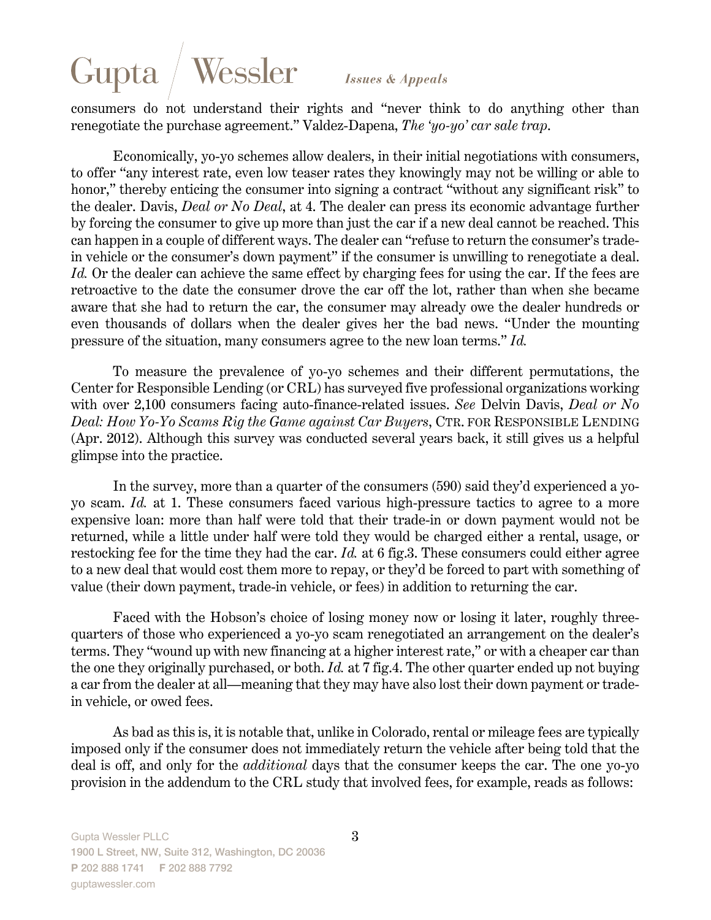# Gupta Wessler

**Issues & Appeals** 

consumers do not understand their rights and "never think to do anything other than renegotiate the purchase agreement." Valdez-Dapena, *The 'yo-yo' car sale trap*.

Economically, yo-yo schemes allow dealers, in their initial negotiations with consumers, to offer "any interest rate, even low teaser rates they knowingly may not be willing or able to honor," thereby enticing the consumer into signing a contract "without any significant risk" to the dealer. Davis, *Deal or No Deal*, at 4. The dealer can press its economic advantage further by forcing the consumer to give up more than just the car if a new deal cannot be reached. This can happen in a couple of different ways. The dealer can "refuse to return the consumer's tradein vehicle or the consumer's down payment" if the consumer is unwilling to renegotiate a deal. Id. Or the dealer can achieve the same effect by charging fees for using the car. If the fees are retroactive to the date the consumer drove the car off the lot, rather than when she became aware that she had to return the car, the consumer may already owe the dealer hundreds or even thousands of dollars when the dealer gives her the bad news. "Under the mounting pressure of the situation, many consumers agree to the new loan terms." *Id.*

To measure the prevalence of yo-yo schemes and their different permutations, the Center for Responsible Lending (or CRL) has surveyed five professional organizations working with over 2,100 consumers facing auto-finance-related issues. *See* Delvin Davis, *Deal or No Deal: How Yo-Yo Scams Rig the Game against Car Buyers*, CTR. FOR RESPONSIBLE LENDING (Apr. 2012). Although this survey was conducted several years back, it still gives us a helpful glimpse into the practice.

In the survey, more than a quarter of the consumers (590) said they'd experienced a yoyo scam. *Id.* at 1. These consumers faced various high-pressure tactics to agree to a more expensive loan: more than half were told that their trade-in or down payment would not be returned, while a little under half were told they would be charged either a rental, usage, or restocking fee for the time they had the car. *Id.* at 6 fig.3. These consumers could either agree to a new deal that would cost them more to repay, or they'd be forced to part with something of value (their down payment, trade-in vehicle, or fees) in addition to returning the car.

Faced with the Hobson's choice of losing money now or losing it later, roughly threequarters of those who experienced a yo-yo scam renegotiated an arrangement on the dealer's terms. They "wound up with new financing at a higher interest rate," or with a cheaper car than the one they originally purchased, or both. *Id.* at 7 fig.4. The other quarter ended up not buying a car from the dealer at all—meaning that they may have also lost their down payment or tradein vehicle, or owed fees.

As bad as this is, it is notable that, unlike in Colorado, rental or mileage fees are typically imposed only if the consumer does not immediately return the vehicle after being told that the deal is off, and only for the *additional* days that the consumer keeps the car. The one yo-yo provision in the addendum to the CRL study that involved fees, for example, reads as follows: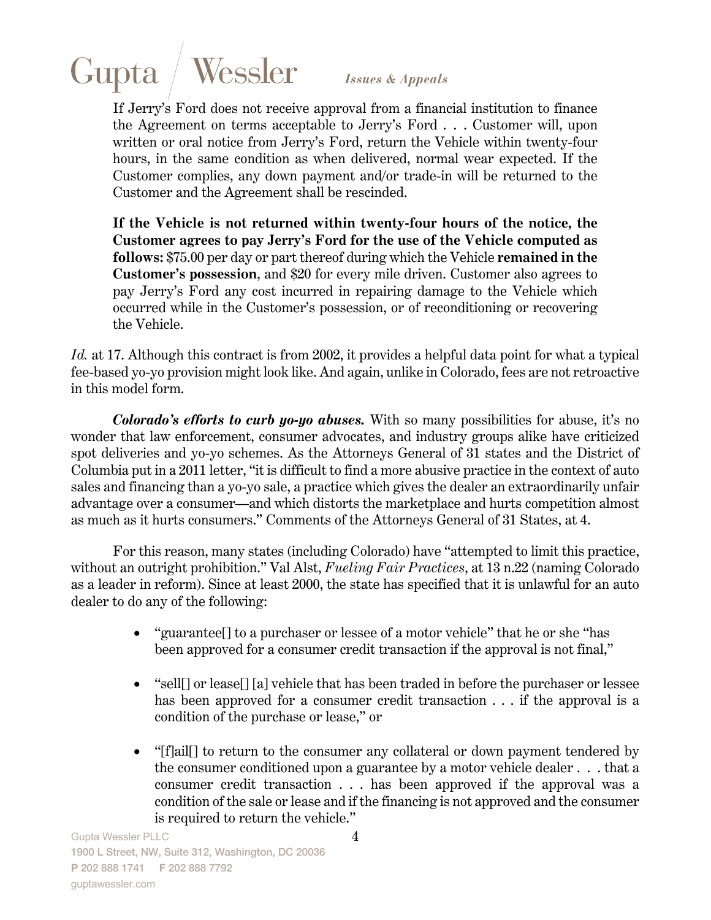

If Jerry's Ford does not receive approval from a financial institution to finance the Agreement on terms acceptable to Jerry's Ford . . . Customer will, upon written or oral notice from Jerry's Ford, return the Vehicle within twenty-four hours, in the same condition as when delivered, normal wear expected. If the Customer complies, any down payment and/or trade-in will be returned to the Customer and the Agreement shall be rescinded.

**If the Vehicle is not returned within twenty-four hours of the notice, the Customer agrees to pay Jerry's Ford for the use of the Vehicle computed as follows:** \$75.00 per day or part thereof during which the Vehicle **remained in the Customer's possession**, and \$20 for every mile driven. Customer also agrees to pay Jerry's Ford any cost incurred in repairing damage to the Vehicle which occurred while in the Customer's possession, or of reconditioning or recovering the Vehicle.

Id. at 17. Although this contract is from 2002, it provides a helpful data point for what a typical fee-based yo-yo provision might look like. And again, unlike in Colorado, fees are not retroactive in this model form.

*Colorado's efforts to curb yo-yo abuses.* With so many possibilities for abuse, it's no wonder that law enforcement, consumer advocates, and industry groups alike have criticized spot deliveries and yo-yo schemes. As the Attorneys General of 31 states and the District of Columbia put in a 2011 letter, "it is difficult to find a more abusive practice in the context of auto sales and financing than a yo-yo sale, a practice which gives the dealer an extraordinarily unfair advantage over a consumer—and which distorts the marketplace and hurts competition almost as much as it hurts consumers." Comments of the Attorneys General of 31 States, at 4.

For this reason, many states (including Colorado) have "attempted to limit this practice, without an outright prohibition." Val Alst, *Fueling Fair Practices*, at 13 n.22 (naming Colorado as a leader in reform). Since at least 2000, the state has specified that it is unlawful for an auto dealer to do any of the following:

- "guarantee<sup>[]</sup> to a purchaser or lessee of a motor vehicle" that he or she "has been approved for a consumer credit transaction if the approval is not final,"
- "sell[] or lease[] [a] vehicle that has been traded in before the purchaser or lessee has been approved for a consumer credit transaction . . . if the approval is a condition of the purchase or lease," or
- "[f]ail[] to return to the consumer any collateral or down payment tendered by the consumer conditioned upon a guarantee by a motor vehicle dealer . . . that a consumer credit transaction . . . has been approved if the approval was a condition of the sale or lease and if the financing is not approved and the consumer is required to return the vehicle."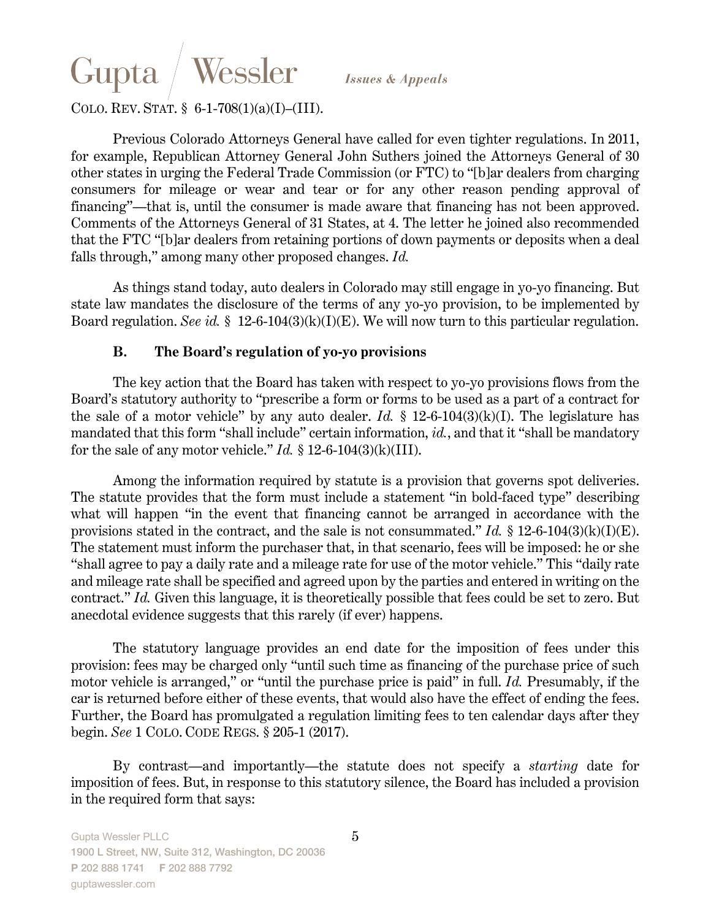## Gupta Wessler

**Issues & Appeals** 

### COLO. REV. STAT. § 6-1-708(1)(a)(I)–(III).

Previous Colorado Attorneys General have called for even tighter regulations. In 2011, for example, Republican Attorney General John Suthers joined the Attorneys General of 30 other states in urging the Federal Trade Commission (or FTC) to "[b]ar dealers from charging consumers for mileage or wear and tear or for any other reason pending approval of financing"—that is, until the consumer is made aware that financing has not been approved. Comments of the Attorneys General of 31 States, at 4. The letter he joined also recommended that the FTC "[b]ar dealers from retaining portions of down payments or deposits when a deal falls through," among many other proposed changes. *Id.*

As things stand today, auto dealers in Colorado may still engage in yo-yo financing. But state law mandates the disclosure of the terms of any yo-yo provision, to be implemented by Board regulation. *See id.* § 12-6-104(3)(k)(I)(E). We will now turn to this particular regulation.

#### **B. The Board's regulation of yo-yo provisions**

The key action that the Board has taken with respect to yo-yo provisions flows from the Board's statutory authority to "prescribe a form or forms to be used as a part of a contract for the sale of a motor vehicle" by any auto dealer. *Id.*  $\S$  12-6-104(3)(k)(I). The legislature has mandated that this form "shall include" certain information, *id.*, and that it "shall be mandatory for the sale of any motor vehicle."  $Id. \S$  12-6-104(3)(k)(III).

Among the information required by statute is a provision that governs spot deliveries. The statute provides that the form must include a statement "in bold-faced type" describing what will happen "in the event that financing cannot be arranged in accordance with the provisions stated in the contract, and the sale is not consummated." *Id.* § 12-6-104(3)(k)(I)(E). The statement must inform the purchaser that, in that scenario, fees will be imposed: he or she "shall agree to pay a daily rate and a mileage rate for use of the motor vehicle." This "daily rate and mileage rate shall be specified and agreed upon by the parties and entered in writing on the contract." *Id.* Given this language, it is theoretically possible that fees could be set to zero. But anecdotal evidence suggests that this rarely (if ever) happens.

The statutory language provides an end date for the imposition of fees under this provision: fees may be charged only "until such time as financing of the purchase price of such motor vehicle is arranged," or "until the purchase price is paid" in full. *Id.* Presumably, if the car is returned before either of these events, that would also have the effect of ending the fees. Further, the Board has promulgated a regulation limiting fees to ten calendar days after they begin. *See* 1 COLO. CODE REGS. § 205-1 (2017).

By contrast—and importantly—the statute does not specify a *starting* date for imposition of fees. But, in response to this statutory silence, the Board has included a provision in the required form that says: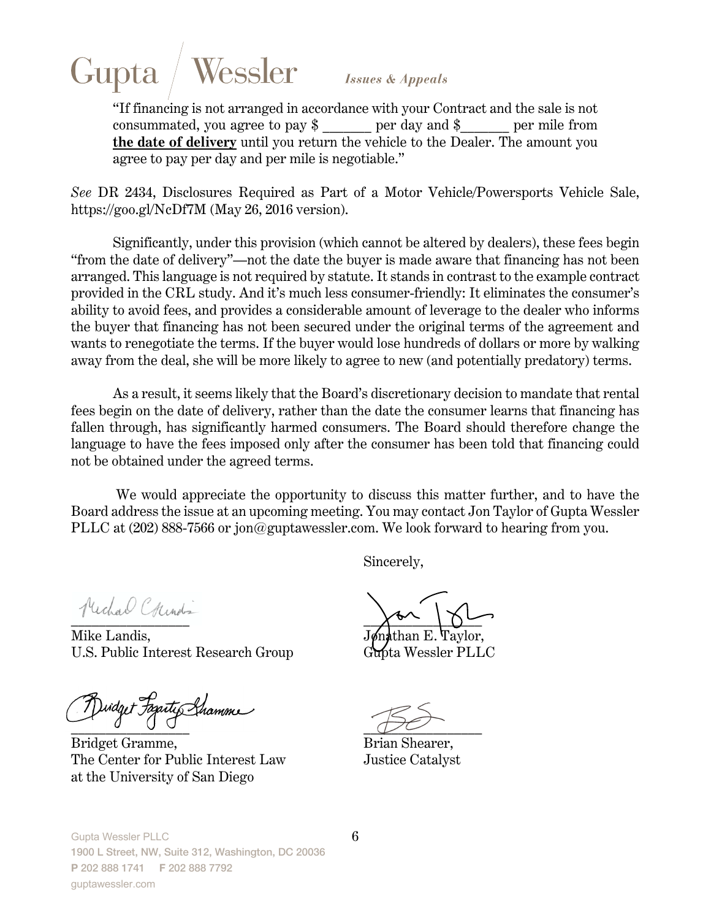# Gupta Wessler

*Issues & Appeals* 

"If financing is not arranged in accordance with your Contract and the sale is not consummated, you agree to pay  $\frac{1}{2}$  per day and  $\frac{1}{2}$  per mile from **the date of delivery** until you return the vehicle to the Dealer. The amount you agree to pay per day and per mile is negotiable."

*See* DR 2434, Disclosures Required as Part of a Motor Vehicle/Powersports Vehicle Sale, https://goo.gl/NcDf7M (May 26, 2016 version).

Significantly, under this provision (which cannot be altered by dealers), these fees begin "from the date of delivery"—not the date the buyer is made aware that financing has not been arranged. This language is not required by statute. It stands in contrast to the example contract provided in the CRL study. And it's much less consumer-friendly: It eliminates the consumer's ability to avoid fees, and provides a considerable amount of leverage to the dealer who informs the buyer that financing has not been secured under the original terms of the agreement and wants to renegotiate the terms. If the buyer would lose hundreds of dollars or more by walking away from the deal, she will be more likely to agree to new (and potentially predatory) terms.

As a result, it seems likely that the Board's discretionary decision to mandate that rental fees begin on the date of delivery, rather than the date the consumer learns that financing has fallen through, has significantly harmed consumers. The Board should therefore change the language to have the fees imposed only after the consumer has been told that financing could not be obtained under the agreed terms.

 We would appreciate the opportunity to discuss this matter further, and to have the Board address the issue at an upcoming meeting. You may contact Jon Taylor of Gupta Wessler PLLC at (202) 888-7566 or jon@guptawessler.com. We look forward to hearing from you.

Sincerely,

Mike Landis, U.S. Public Interest Research Group Gupta Wessler PLLC

 $\mathcal{F}$  Duidget Fagateg Shamme

Bridget Gramme, Brian Shearer, The Center for Public Interest Law Justice Catalyst at the University of San Diego

 $\chi_{\phi\chi}$  ,  $\chi_{\phi\chi}$ 

Gupta Wessler PLLC 1900 L Street, NW, Suite 312, Washington, DC 20036 **P** 202 888 1741 **F** 202 888 7792 guptawessler.com

6